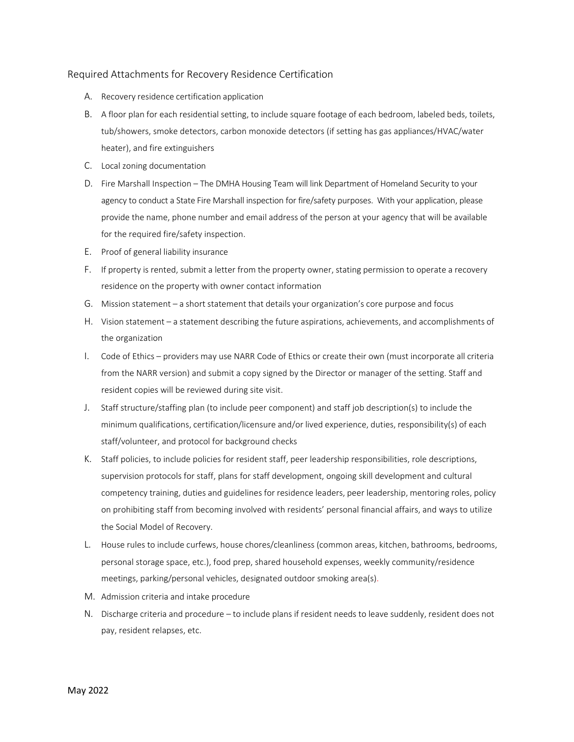## Required Attachments for Recovery Residence Certification

- A. Recovery residence certification application
- B. A floor plan for each residential setting, to include square footage of each bedroom, labeled beds, toilets, tub/showers, smoke detectors, carbon monoxide detectors (if setting has gas appliances/HVAC/water heater), and fire extinguishers
- C. Local zoning documentation
- D. Fire Marshall Inspection The DMHA Housing Team will link Department of Homeland Security to your agency to conduct a State Fire Marshall inspection for fire/safety purposes. With your application, please provide the name, phone number and email address of the person at your agency that will be available for the required fire/safety inspection.
- E. Proof of general liability insurance
- F. If property is rented, submit a letter from the property owner, stating permission to operate a recovery residence on the property with owner contact information
- G. Mission statement a short statement that details your organization's core purpose and focus
- H. Vision statement a statement describing the future aspirations, achievements, and accomplishments of the organization
- I. Code of Ethics providers may use NARR Code of Ethics or create their own (must incorporate all criteria from the NARR version) and submit a copy signed by the Director or manager of the setting. Staff and resident copies will be reviewed during site visit.
- J. Staff structure/staffing plan (to include peer component) and staff job description(s) to include the minimum qualifications, certification/licensure and/or lived experience, duties, responsibility(s) of each staff/volunteer, and protocol for background checks
- K. Staff policies, to include policies for resident staff, peer leadership responsibilities, role descriptions, supervision protocols for staff, plans for staff development, ongoing skill development and cultural competency training, duties and guidelines for residence leaders, peer leadership, mentoring roles, policy on prohibiting staff from becoming involved with residents' personal financial affairs, and ways to utilize the Social Model of Recovery.
- L. House rules to include curfews, house chores/cleanliness (common areas, kitchen, bathrooms, bedrooms, personal storage space, etc.), food prep, shared household expenses, weekly community/residence meetings, parking/personal vehicles, designated outdoor smoking area(s).
- M. Admission criteria and intake procedure
- N. Discharge criteria and procedure to include plans if resident needs to leave suddenly, resident does not pay, resident relapses, etc.